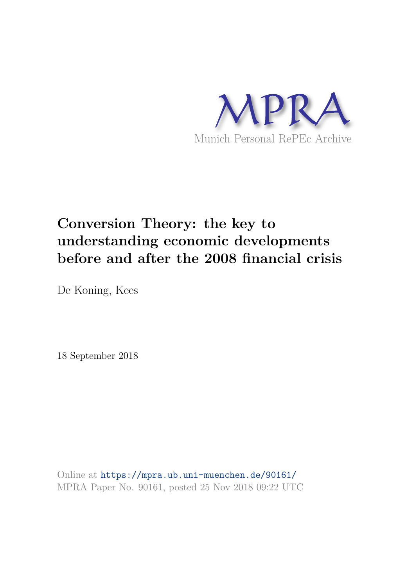

# **Conversion Theory: the key to understanding economic developments before and after the 2008 financial crisis**

De Koning, Kees

18 September 2018

Online at https://mpra.ub.uni-muenchen.de/90161/ MPRA Paper No. 90161, posted 25 Nov 2018 09:22 UTC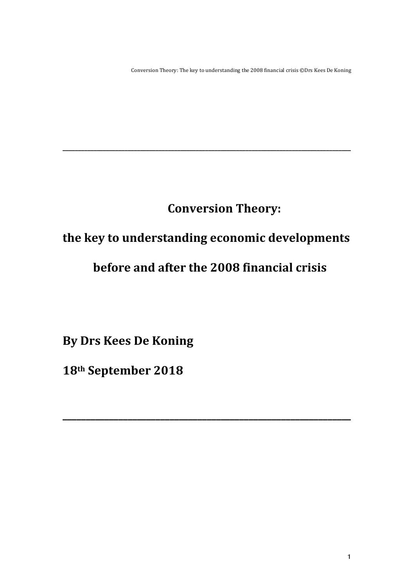Conversion Theory: The key to understanding the 2008 financial crisis ©Drs Kees De Koning

## **Conversion Theory:**

## the key to understanding economic developments

**\_\_\_\_\_\_\_\_\_\_\_\_\_\_\_\_\_\_\_\_\_\_\_\_\_\_\_\_\_\_\_\_\_\_\_\_\_\_\_\_\_\_\_\_\_\_\_\_\_\_\_\_\_\_\_\_\_\_\_\_\_\_\_\_\_\_\_\_\_\_\_\_\_\_\_\_\_\_\_\_\_\_\_\_\_\_\_\_\_\_\_\_\_**

## before and after the 2008 financial crisis

**\_\_\_\_\_\_\_\_\_\_\_\_\_\_\_\_\_\_\_\_\_\_\_\_\_\_\_\_\_\_\_\_\_\_\_\_\_\_\_\_\_\_\_\_\_\_\_\_\_\_\_\_\_\_\_\_\_\_\_\_\_\_**

**By Drs Kees De Koning** 

**18th September 2018**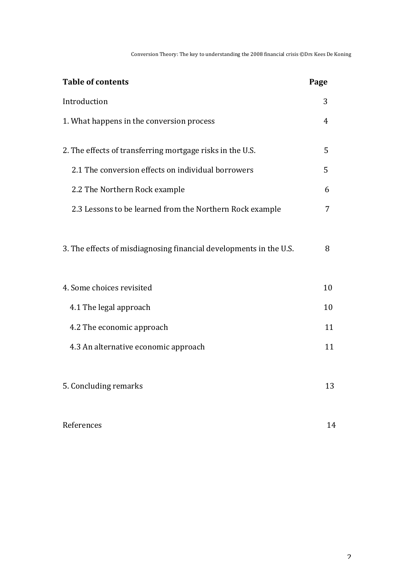Conversion Theory: The key to understanding the 2008 financial crisis  $@Drs$  Kees De Koning

| <b>Table of contents</b>                                           | Page |
|--------------------------------------------------------------------|------|
| Introduction                                                       | 3    |
| 1. What happens in the conversion process                          | 4    |
| 2. The effects of transferring mortgage risks in the U.S.          | 5    |
| 2.1 The conversion effects on individual borrowers                 | 5    |
| 2.2 The Northern Rock example                                      | 6    |
| 2.3 Lessons to be learned from the Northern Rock example           | 7    |
| 3. The effects of misdiagnosing financial developments in the U.S. | 8    |
| 4. Some choices revisited                                          | 10   |
| 4.1 The legal approach                                             | 10   |
| 4.2 The economic approach                                          | 11   |
| 4.3 An alternative economic approach                               | 11   |
| 5. Concluding remarks                                              | 13   |
| References                                                         | 14   |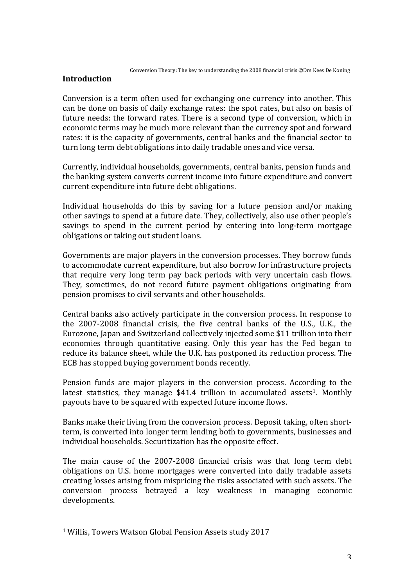## **Introduction**

Conversion is a term often used for exchanging one currency into another. This can be done on basis of daily exchange rates: the spot rates, but also on basis of future needs: the forward rates. There is a second type of conversion, which in economic terms may be much more relevant than the currency spot and forward rates: it is the capacity of governments, central banks and the financial sector to turn long term debt obligations into daily tradable ones and vice versa.

Currently, individual households, governments, central banks, pension funds and the banking system converts current income into future expenditure and convert current expenditure into future debt obligations.

Individual households do this by saving for a future pension and/or making other savings to spend at a future date. They, collectively, also use other people's savings to spend in the current period by entering into long-term mortgage obligations or taking out student loans.

Governments are major players in the conversion processes. They borrow funds to accommodate current expenditure, but also borrow for infrastructure projects that require very long term pay back periods with very uncertain cash flows. They, sometimes, do not record future payment obligations originating from pension promises to civil servants and other households.

Central banks also actively participate in the conversion process. In response to the 2007-2008 financial crisis, the five central banks of the U.S., U.K., the Eurozone, Japan and Switzerland collectively injected some \$11 trillion into their economies through quantitative easing. Only this year has the Fed began to reduce its balance sheet, while the U.K. has postponed its reduction process. The ECB has stopped buying government bonds recently.

Pension funds are major players in the conversion process. According to the latest statistics, they manage  $$41.4$  trillion in accumulated assets<sup>1</sup>. Monthly payouts have to be squared with expected future income flows.

Banks make their living from the conversion process. Deposit taking, often shortterm, is converted into longer term lending both to governments, businesses and individual households. Securitization has the opposite effect.

The main cause of the 2007-2008 financial crisis was that long term debt obligations on U.S. home mortgages were converted into daily tradable assets creating losses arising from mispricing the risks associated with such assets. The conversion process betrayed a key weakness in managing economic developments. 

<sup>&</sup>lt;sup>1</sup> Willis, Towers Watson Global Pension Assets study 2017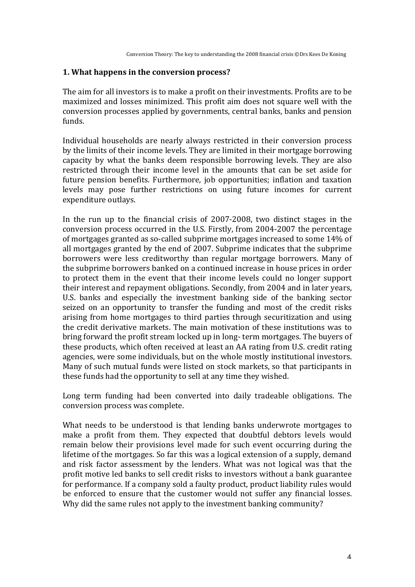#### **1. What happens in the conversion process?**

The aim for all investors is to make a profit on their investments. Profits are to be maximized and losses minimized. This profit aim does not square well with the conversion processes applied by governments, central banks, banks and pension funds.

Individual households are nearly always restricted in their conversion process by the limits of their income levels. They are limited in their mortgage borrowing capacity by what the banks deem responsible borrowing levels. They are also restricted through their income level in the amounts that can be set aside for future pension benefits. Furthermore, job opportunities: inflation and taxation levels may pose further restrictions on using future incomes for current expenditure outlays.

In the run up to the financial crisis of  $2007-2008$ , two distinct stages in the conversion process occurred in the U.S. Firstly, from 2004-2007 the percentage of mortgages granted as so-called subprime mortgages increased to some 14% of all mortgages granted by the end of 2007. Subprime indicates that the subprime borrowers were less creditworthy than regular mortgage borrowers. Many of the subprime borrowers banked on a continued increase in house prices in order to protect them in the event that their income levels could no longer support their interest and repayment obligations. Secondly, from 2004 and in later years, U.S. banks and especially the investment banking side of the banking sector seized on an opportunity to transfer the funding and most of the credit risks arising from home mortgages to third parties through securitization and using the credit derivative markets. The main motivation of these institutions was to bring forward the profit stream locked up in long- term mortgages. The buyers of these products, which often received at least an AA rating from U.S. credit rating agencies, were some individuals, but on the whole mostly institutional investors. Many of such mutual funds were listed on stock markets, so that participants in these funds had the opportunity to sell at any time they wished.

Long term funding had been converted into daily tradeable obligations. The conversion process was complete.

What needs to be understood is that lending banks underwrote mortgages to make a profit from them. They expected that doubtful debtors levels would remain below their provisions level made for such event occurring during the lifetime of the mortgages. So far this was a logical extension of a supply, demand and risk factor assessment by the lenders. What was not logical was that the profit motive led banks to sell credit risks to investors without a bank guarantee for performance. If a company sold a faulty product, product liability rules would be enforced to ensure that the customer would not suffer any financial losses. Why did the same rules not apply to the investment banking community?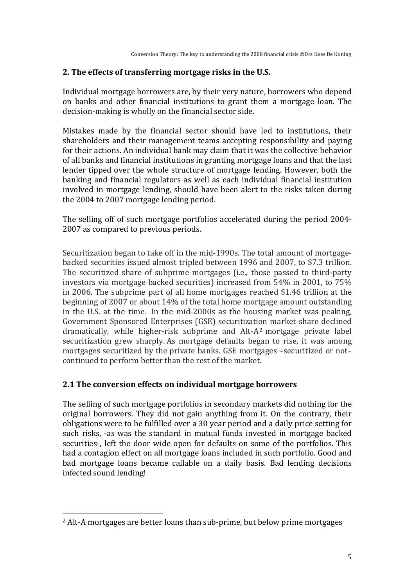## **2.** The effects of transferring mortgage risks in the U.S.

Individual mortgage borrowers are, by their very nature, borrowers who depend on banks and other financial institutions to grant them a mortgage loan. The decision-making is wholly on the financial sector side.

Mistakes made by the financial sector should have led to institutions, their shareholders and their management teams accepting responsibility and paying for their actions. An individual bank may claim that it was the collective behavior of all banks and financial institutions in granting mortgage loans and that the last lender tipped over the whole structure of mortgage lending. However, both the banking and financial regulators as well as each individual financial institution involved in mortgage lending, should have been alert to the risks taken during the 2004 to 2007 mortgage lending period.

The selling off of such mortgage portfolios accelerated during the period 2004-2007 as compared to previous periods.

Securitization began to take off in the mid-1990s. The total amount of mortgagebacked securities issued almost tripled between 1996 and 2007, to \$7.3 trillion. The securitized share of subprime mortgages (i.e., those passed to third-party investors via mortgage backed securities) increased from  $54\%$  in 2001, to  $75\%$ in 2006. The subprime part of all home mortgages reached \$1.46 trillion at the beginning of 2007 or about 14% of the total home mortgage amount outstanding in the U.S. at the time. In the mid-2000s as the housing market was peaking, Government Sponsored Enterprises (GSE) securitization market share declined dramatically, while higher-risk subprime and  $Alt-A^2$  mortgage private label securitization grew sharply. As mortgage defaults began to rise, it was among mortgages securitized by the private banks. GSE mortgages -securitized or notcontinued to perform better than the rest of the market.

## **2.1 The conversion effects on individual mortgage borrowers**

The selling of such mortgage portfolios in secondary markets did nothing for the original borrowers. They did not gain anything from it. On the contrary, their obligations were to be fulfilled over a 30 year period and a daily price setting for such risks, -as was the standard in mutual funds invested in mortgage backed securities-, left the door wide open for defaults on some of the portfolios. This had a contagion effect on all mortgage loans included in such portfolio. Good and bad mortgage loans became callable on a daily basis. Bad lending decisions infected sound lending!

<sup>&</sup>lt;sup>2</sup> Alt-A mortgages are better loans than sub-prime, but below prime mortgages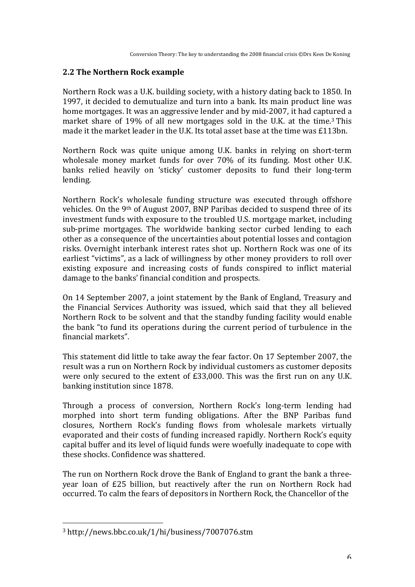## **2.2 The Northern Rock example**

Northern Rock was a U.K. building society, with a history dating back to 1850. In 1997, it decided to demutualize and turn into a bank. Its main product line was home mortgages. It was an aggressive lender and by mid-2007, it had captured a market share of 19% of all new mortgages sold in the U.K. at the time.<sup>3</sup> This made it the market leader in the U.K. Its total asset base at the time was  $£113bn$ .

Northern Rock was quite unique among U.K. banks in relying on short-term wholesale money market funds for over 70% of its funding. Most other U.K. banks relied heavily on 'sticky' customer deposits to fund their long-term lending. 

Northern Rock's wholesale funding structure was executed through offshore vehicles. On the 9<sup>th</sup> of August 2007, BNP Paribas decided to suspend three of its investment funds with exposure to the troubled U.S. mortgage market, including sub-prime mortgages. The worldwide banking sector curbed lending to each other as a consequence of the uncertainties about potential losses and contagion risks. Overnight interbank interest rates shot up. Northern Rock was one of its earliest "victims", as a lack of willingness by other money providers to roll over existing exposure and increasing costs of funds conspired to inflict material damage to the banks' financial condition and prospects.

On 14 September 2007, a joint statement by the Bank of England, Treasury and the Financial Services Authority was issued, which said that they all believed Northern Rock to be solvent and that the standby funding facility would enable the bank "to fund its operations during the current period of turbulence in the financial markets". 

This statement did little to take away the fear factor. On 17 September 2007, the result was a run on Northern Rock by individual customers as customer deposits were only secured to the extent of  $£33,000$ . This was the first run on any U.K. banking institution since 1878.

Through a process of conversion, Northern Rock's long-term lending had morphed into short term funding obligations. After the BNP Paribas fund closures, Northern Rock's funding flows from wholesale markets virtually evaporated and their costs of funding increased rapidly. Northern Rock's equity capital buffer and its level of liquid funds were woefully inadequate to cope with these shocks. Confidence was shattered.

The run on Northern Rock drove the Bank of England to grant the bank a threeyear loan of £25 billion, but reactively after the run on Northern Rock had occurred. To calm the fears of depositors in Northern Rock, the Chancellor of the

<sup>3</sup> http://news.bbc.co.uk/1/hi/business/7007076.stm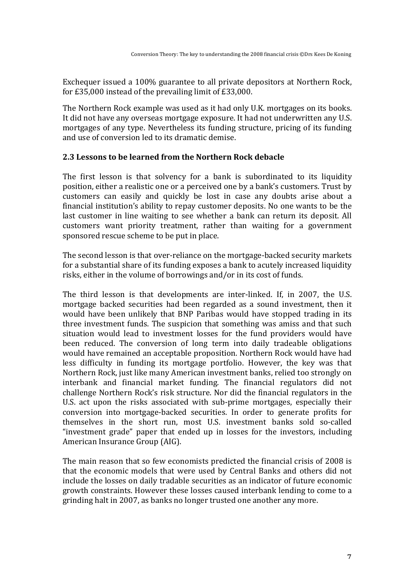Exchequer issued a 100% guarantee to all private depositors at Northern Rock, for  $£35,000$  instead of the prevailing limit of  $£33,000$ .

The Northern Rock example was used as it had only U.K. mortgages on its books. It did not have any overseas mortgage exposure. It had not underwritten any U.S. mortgages of any type. Nevertheless its funding structure, pricing of its funding and use of conversion led to its dramatic demise.

#### **2.3 Lessons to be learned from the Northern Rock debacle**

The first lesson is that solvency for a bank is subordinated to its liquidity position, either a realistic one or a perceived one by a bank's customers. Trust by customers can easily and quickly be lost in case any doubts arise about a financial institution's ability to repay customer deposits. No one wants to be the last customer in line waiting to see whether a bank can return its deposit. All customers want priority treatment, rather than waiting for a government sponsored rescue scheme to be put in place.

The second lesson is that over-reliance on the mortgage-backed security markets for a substantial share of its funding exposes a bank to acutely increased liquidity risks, either in the volume of borrowings and/or in its cost of funds.

The third lesson is that developments are inter-linked. If, in 2007, the U.S. mortgage backed securities had been regarded as a sound investment, then it would have been unlikely that BNP Paribas would have stopped trading in its three investment funds. The suspicion that something was amiss and that such situation would lead to investment losses for the fund providers would have been reduced. The conversion of long term into daily tradeable obligations would have remained an acceptable proposition. Northern Rock would have had less difficulty in funding its mortgage portfolio. However, the key was that Northern Rock, just like many American investment banks, relied too strongly on interbank and financial market funding. The financial regulators did not challenge Northern Rock's risk structure. Nor did the financial regulators in the U.S. act upon the risks associated with sub-prime mortgages, especially their conversion into mortgage-backed securities. In order to generate profits for themselves in the short run, most U.S. investment banks sold so-called "investment grade" paper that ended up in losses for the investors, including American Insurance Group (AIG).

The main reason that so few economists predicted the financial crisis of 2008 is that the economic models that were used by Central Banks and others did not include the losses on daily tradable securities as an indicator of future economic growth constraints. However these losses caused interbank lending to come to a grinding halt in 2007, as banks no longer trusted one another any more.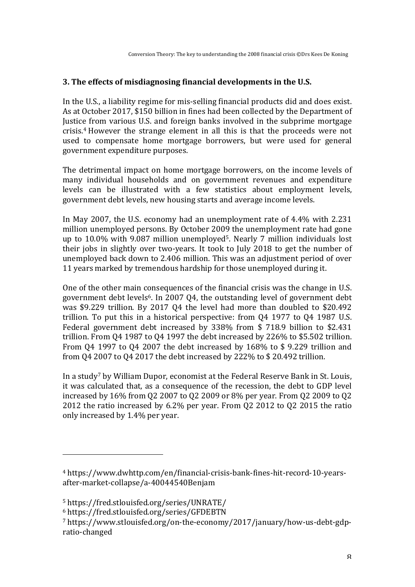### **3.** The effects of misdiagnosing financial developments in the U.S.

In the U.S., a liability regime for mis-selling financial products did and does exist. As at October 2017, \$150 billion in fines had been collected by the Department of Justice from various U.S. and foreign banks involved in the subprime mortgage crisis.<sup>4</sup> However the strange element in all this is that the proceeds were not used to compensate home mortgage borrowers, but were used for general government expenditure purposes.

The detrimental impact on home mortgage borrowers, on the income levels of many individual households and on government revenues and expenditure levels can be illustrated with a few statistics about employment levels, government debt levels, new housing starts and average income levels.

In May 2007, the U.S. economy had an unemployment rate of 4.4% with 2.231 million unemployed persons. By October 2009 the unemployment rate had gone up to  $10.0\%$  with 9.087 million unemployed<sup>5</sup>. Nearly 7 million individuals lost their jobs in slightly over two-years. It took to July 2018 to get the number of unemployed back down to 2.406 million. This was an adjustment period of over 11 years marked by tremendous hardship for those unemployed during it.

One of the other main consequences of the financial crisis was the change in U.S. government debt levels<sup>6</sup>. In 2007 Q4, the outstanding level of government debt was \$9.229 trillion. By 2017 Q4 the level had more than doubled to \$20.492 trillion. To put this in a historical perspective: from  $Q4$  1977 to  $Q4$  1987 U.S. Federal government debt increased by  $338\%$  from \$ 718.9 billion to \$2.431 trillion. From Q4 1987 to Q4 1997 the debt increased by 226% to \$5.502 trillion. From Q4 1997 to Q4 2007 the debt increased by  $168\%$  to \$ 9.229 trillion and from Q4 2007 to Q4 2017 the debt increased by 222% to \$20.492 trillion.

In a study<sup>7</sup> by William Dupor, economist at the Federal Reserve Bank in St. Louis, it was calculated that, as a consequence of the recession, the debt to GDP level increased by  $16\%$  from Q2 2007 to Q2 2009 or  $8\%$  per year. From Q2 2009 to Q2 2012 the ratio increased by  $6.2\%$  per year. From 02 2012 to 02 2015 the ratio only increased by 1.4% per year.

<sup>4</sup> https://www.dwhttp.com/en/financial-crisis-bank-fines-hit-record-10-yearsafter-market-collapse/a-40044540Benjam

<sup>5</sup> https://fred.stlouisfed.org/series/UNRATE/ 

<sup>6</sup> https://fred.stlouisfed.org/series/GFDEBTN

<sup>7</sup> https://www.stlouisfed.org/on-the-economy/2017/january/how-us-debt-gdpratio-changed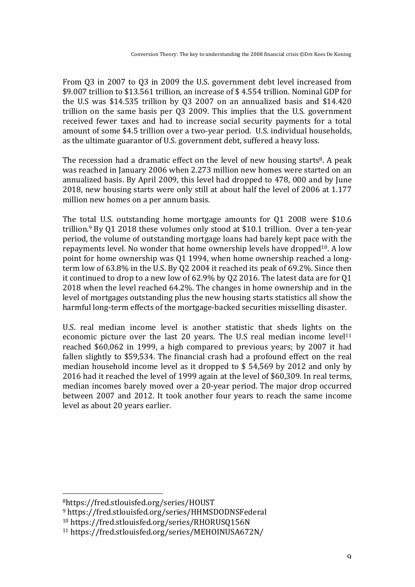From 03 in 2007 to 03 in 2009 the U.S. government debt level increased from \$9.007 trillion to \$13.561 trillion, an increase of \$4.554 trillion. Nominal GDP for the U.S was  $$14.535$  trillion by Q3 2007 on an annualized basis and  $$14.420$ trillion on the same basis per Q3 2009. This implies that the U.S. government received fewer taxes and had to increase social security payments for a total amount of some \$4.5 trillion over a two-year period. U.S. individual households, as the ultimate guarantor of U.S. government debt, suffered a heavy loss.

The recession had a dramatic effect on the level of new housing starts<sup>8</sup>. A peak was reached in January 2006 when 2.273 million new homes were started on an annualized basis. By April 2009, this level had dropped to 478, 000 and by June 2018, new housing starts were only still at about half the level of 2006 at 1.177 million new homes on a per annum basis.

The total U.S. outstanding home mortgage amounts for  $Q1$  2008 were \$10.6 trillion.<sup>9</sup> By Q1 2018 these volumes only stood at \$10.1 trillion. Over a ten-year period, the volume of outstanding mortgage loans had barely kept pace with the repayments level. No wonder that home ownership levels have dropped<sup>10</sup>. A low point for home ownership was Q1 1994, when home ownership reached a longterm low of  $63.8\%$  in the U.S. By Q2 2004 it reached its peak of  $69.2\%$ . Since then it continued to drop to a new low of  $62.9\%$  by Q2 2016. The latest data are for Q1 2018 when the level reached 64.2%. The changes in home ownership and in the level of mortgages outstanding plus the new housing starts statistics all show the harmful long-term effects of the mortgage-backed securities misselling disaster.

U.S. real median income level is another statistic that sheds lights on the economic picture over the last 20 years. The U.S real median income  $level<sup>11</sup>$ reached \$60,062 in 1999, a high compared to previous years; by 2007 it had fallen slightly to \$59,534. The financial crash had a profound effect on the real median household income level as it dropped to  $$54,569$  by 2012 and only by 2016 had it reached the level of 1999 again at the level of \$60,309. In real terms, median incomes barely moved over a 20-year period. The major drop occurred between 2007 and 2012. It took another four years to reach the same income level as about 20 years earlier.

<sup>8</sup>https://fred.stlouisfed.org/series/HOUST

<sup>9</sup> https://fred.stlouisfed.org/series/HHMSDODNSFederal

<sup>10</sup> https://fred.stlouisfed.org/series/RHORUSQ156N

<sup>11</sup> https://fred.stlouisfed.org/series/MEHOINUSA672N/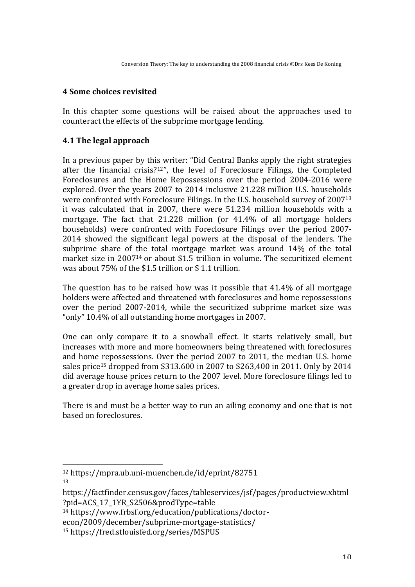## **4 Some choices revisited**

In this chapter some questions will be raised about the approaches used to counteract the effects of the subprime mortgage lending.

## **4.1 The legal approach**

In a previous paper by this writer: "Did Central Banks apply the right strategies after the financial crisis?<sup>12"</sup>, the level of Foreclosure Filings, the Completed Foreclosures and the Home Repossessions over the period 2004-2016 were explored. Over the years 2007 to 2014 inclusive 21.228 million U.S. households were confronted with Foreclosure Filings. In the U.S. household survey of  $2007^{13}$ it was calculated that in 2007, there were 51.234 million households with a mortgage. The fact that  $21.228$  million (or  $41.4\%$  of all mortgage holders households) were confronted with Foreclosure Filings over the period 2007-2014 showed the significant legal powers at the disposal of the lenders. The subprime share of the total mortgage market was around  $14\%$  of the total market size in  $2007^{14}$  or about \$1.5 trillion in volume. The securitized element was about  $75\%$  of the \$1.5 trillion or \$1.1 trillion.

The question has to be raised how was it possible that  $41.4\%$  of all mortgage holders were affected and threatened with foreclosures and home repossessions over the period 2007-2014, while the securitized subprime market size was "only" 10.4% of all outstanding home mortgages in 2007.

One can only compare it to a snowball effect. It starts relatively small, but increases with more and more homeowners being threatened with foreclosures and home repossessions. Over the period 2007 to 2011, the median U.S. home sales price<sup>15</sup> dropped from \$313.600 in 2007 to \$263,400 in 2011. Only by 2014 did average house prices return to the 2007 level. More foreclosure filings led to a greater drop in average home sales prices.

There is and must be a better way to run an ailing economy and one that is not based on foreclosures.

13

<sup>12</sup> https://mpra.ub.uni-muenchen.de/id/eprint/82751

https://factfinder.census.gov/faces/tableservices/jsf/pages/productview.xhtml ?pid=ACS\_17\_1YR\_S2506&prodType=table 

<sup>14</sup> https://www.frbsf.org/education/publications/doctor-

econ/2009/december/subprime-mortgage-statistics/

<sup>15</sup> https://fred.stlouisfed.org/series/MSPUS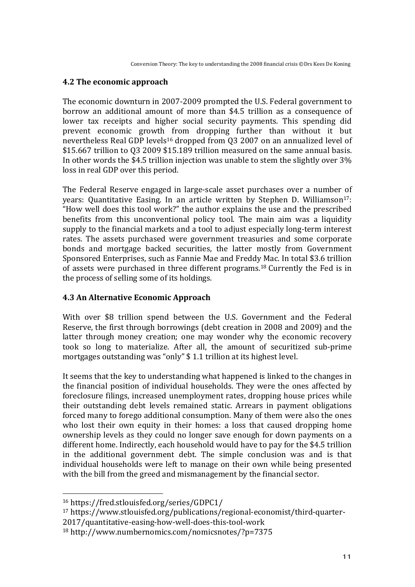## **4.2 The economic approach**

The economic downturn in 2007-2009 prompted the U.S. Federal government to borrow an additional amount of more than \$4.5 trillion as a consequence of lower tax receipts and higher social security payments. This spending did prevent economic growth from dropping further than without it but nevertheless Real GDP levels<sup>16</sup> dropped from Q3 2007 on an annualized level of \$15.667 trillion to 03 2009 \$15.189 trillion measured on the same annual basis. In other words the \$4.5 trillion injection was unable to stem the slightly over  $3\%$ loss in real GDP over this period.

The Federal Reserve engaged in large-scale asset purchases over a number of years: Quantitative Easing. In an article written by Stephen D. Williamson<sup>17</sup>: "How well does this tool work?" the author explains the use and the prescribed benefits from this unconventional policy tool. The main aim was a liquidity supply to the financial markets and a tool to adjust especially long-term interest rates. The assets purchased were government treasuries and some corporate bonds and mortgage backed securities, the latter mostly from Government Sponsored Enterprises, such as Fannie Mae and Freddy Mac. In total \$3.6 trillion of assets were purchased in three different programs.<sup>18</sup> Currently the Fed is in the process of selling some of its holdings.

#### **4.3 An Alternative Economic Approach**

With over \$8 trillion spend between the U.S. Government and the Federal Reserve, the first through borrowings (debt creation in 2008 and 2009) and the latter through money creation; one may wonder why the economic recovery took so long to materialize. After all, the amount of securitized sub-prime mortgages outstanding was "only"  $$ 1.1$  trillion at its highest level.

It seems that the key to understanding what happened is linked to the changes in the financial position of individual households. They were the ones affected by foreclosure filings, increased unemployment rates, dropping house prices while their outstanding debt levels remained static. Arrears in payment obligations forced many to forego additional consumption. Many of them were also the ones who lost their own equity in their homes: a loss that caused dropping home ownership levels as they could no longer save enough for down payments on a different home. Indirectly, each household would have to pay for the \$4.5 trillion in the additional government debt. The simple conclusion was and is that individual households were left to manage on their own while being presented with the bill from the greed and mismanagement by the financial sector.

<sup>16</sup> https://fred.stlouisfed.org/series/GDPC1/

<sup>17</sup> https://www.stlouisfed.org/publications/regional-economist/third-quarter-

<sup>2017/</sup>quantitative-easing-how-well-does-this-tool-work

<sup>18</sup> http://www.numbernomics.com/nomicsnotes/?p=7375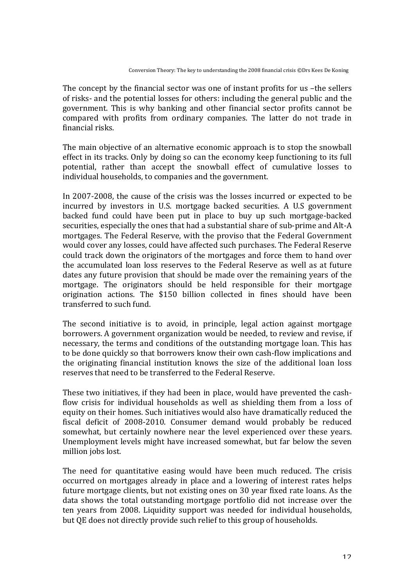The concept by the financial sector was one of instant profits for us  $-$ the sellers of risks- and the potential losses for others: including the general public and the government. This is why banking and other financial sector profits cannot be compared with profits from ordinary companies. The latter do not trade in financial risks.

The main objective of an alternative economic approach is to stop the snowball effect in its tracks. Only by doing so can the economy keep functioning to its full potential, rather than accept the snowball effect of cumulative losses to individual households, to companies and the government.

In 2007-2008, the cause of the crisis was the losses incurred or expected to be incurred by investors in U.S. mortgage backed securities. A U.S government backed fund could have been put in place to buy up such mortgage-backed securities, especially the ones that had a substantial share of sub-prime and Alt-A mortgages. The Federal Reserve, with the proviso that the Federal Government would cover any losses, could have affected such purchases. The Federal Reserve could track down the originators of the mortgages and force them to hand over the accumulated loan loss reserves to the Federal Reserve as well as at future dates any future provision that should be made over the remaining years of the mortgage. The originators should be held responsible for their mortgage origination actions. The \$150 billion collected in fines should have been transferred to such fund.

The second initiative is to avoid, in principle, legal action against mortgage borrowers. A government organization would be needed, to review and revise, if necessary, the terms and conditions of the outstanding mortgage loan. This has to be done quickly so that borrowers know their own cash-flow implications and the originating financial institution knows the size of the additional loan loss reserves that need to be transferred to the Federal Reserve.

These two initiatives, if they had been in place, would have prevented the cashflow crisis for individual households as well as shielding them from a loss of equity on their homes. Such initiatives would also have dramatically reduced the fiscal deficit of 2008-2010. Consumer demand would probably be reduced somewhat, but certainly nowhere near the level experienced over these years. Unemployment levels might have increased somewhat, but far below the seven million jobs lost.

The need for quantitative easing would have been much reduced. The crisis occurred on mortgages already in place and a lowering of interest rates helps future mortgage clients, but not existing ones on 30 year fixed rate loans. As the data shows the total outstanding mortgage portfolio did not increase over the ten vears from 2008. Liquidity support was needed for individual households, but OE does not directly provide such relief to this group of households.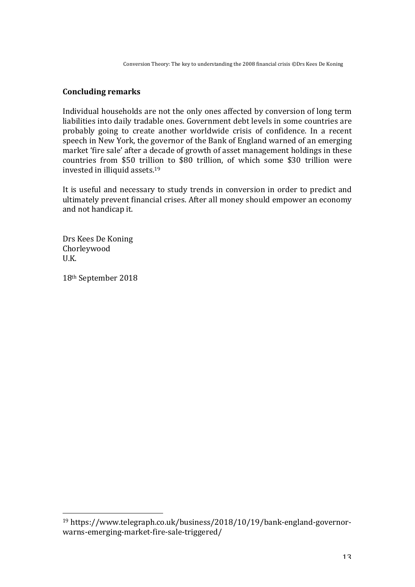Conversion Theory: The key to understanding the 2008 financial crisis ©Drs Kees De Koning

## **Concluding remarks**

Individual households are not the only ones affected by conversion of long term liabilities into daily tradable ones. Government debt levels in some countries are probably going to create another worldwide crisis of confidence. In a recent speech in New York, the governor of the Bank of England warned of an emerging market 'fire sale' after a decade of growth of asset management holdings in these countries from \$50 trillion to \$80 trillion, of which some \$30 trillion were invested in illiquid assets.<sup>19</sup>

It is useful and necessary to study trends in conversion in order to predict and ultimately prevent financial crises. After all money should empower an economy and not handicap it.

Drs Kees De Koning Chorleywood U.K.

18<sup>th</sup> September 2018

<sup>19</sup> https://www.telegraph.co.uk/business/2018/10/19/bank-england-governorwarns-emerging-market-fire-sale-triggered/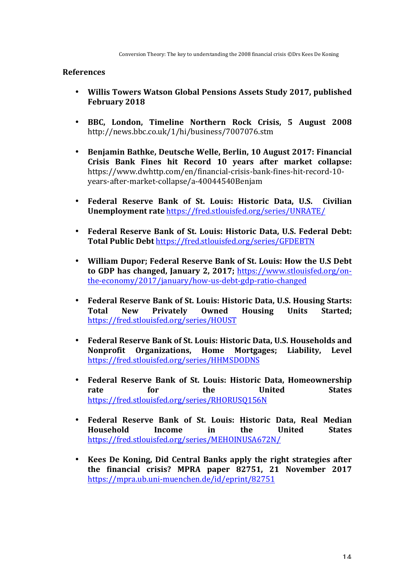#### **References**

- **Willis Towers Watson Global Pensions Assets Study 2017, published February 2018**
- BBC, London, Timeline Northern Rock Crisis, 5 August 2008 http://news.bbc.co.uk/1/hi/business/7007076.stm
- Benjamin Bathke, Deutsche Welle, Berlin, 10 August 2017: Financial **Crisis Bank Fines hit Record 10 years after market collapse:** https://www.dwhttp.com/en/financial-crisis-bank-fines-hit-record-10 years-after-market-collapse/a-40044540Benjam
- **Federal Reserve Bank of St. Louis: Historic Data, U.S. Civilian Unemployment rate https://fred.stlouisfed.org/series/UNRATE/**
- Federal Reserve Bank of St. Louis: Historic Data, U.S. Federal Debt: Total Public Debt https://fred.stlouisfed.org/series/GFDEBTN
- William Dupor; Federal Reserve Bank of St. Louis: How the U.S Debt to GDP has changed, January 2, 2017; https://www.stlouisfed.org/onthe-economy/2017/january/how-us-debt-gdp-ratio-changed
- **Federal Reserve Bank of St. Louis: Historic Data, U.S. Housing Starts:** Total New Privately Owned Housing Units Started; https://fred.stlouisfed.org/series/HOUST
- Federal Reserve Bank of St. Louis: Historic Data, U.S. Households and **Nonprofit Organizations, Home Mortgages; Liability, Level** https://fred.stlouisfed.org/series/HHMSDODNS
- Federal Reserve Bank of St. Louis: Historic Data, Homeownership rate for the United States https://fred.stlouisfed.org/series/RHORUSQ156N
- **Federal Reserve Bank of St. Louis: Historic Data, Real Median Household** Income in the United States https://fred.stlouisfed.org/series/MEHOINUSA672N/
- **Kees De Koning, Did Central Banks apply the right strategies after** the financial crisis? MPRA paper 82751, 21 November 2017 https://mpra.ub.uni-muenchen.de/id/eprint/82751